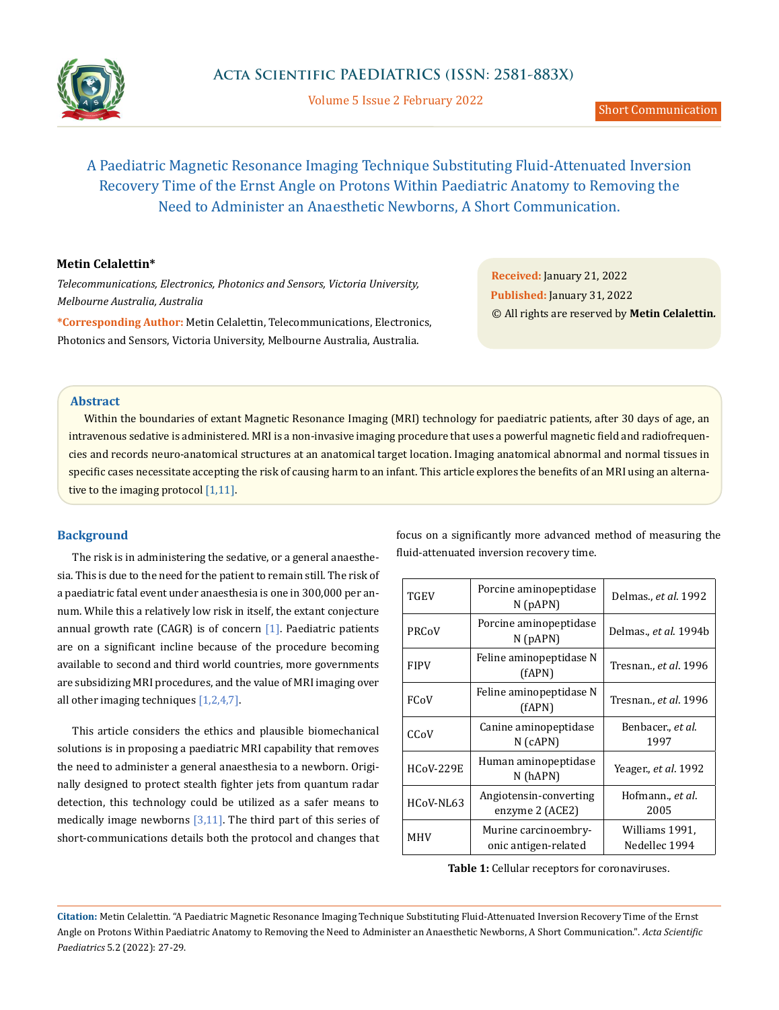

Volume 5 Issue 2 February 2022

# A Paediatric Magnetic Resonance Imaging Technique Substituting Fluid-Attenuated Inversion Recovery Time of the Ernst Angle on Protons Within Paediatric Anatomy to Removing the Need to Administer an Anaesthetic Newborns, A Short Communication.

# **Metin Celalettin\***

*Telecommunications, Electronics, Photonics and Sensors, Victoria University, Melbourne Australia, Australia*

**\*Corresponding Author:** Metin Celalettin, Telecommunications, Electronics, Photonics and Sensors, Victoria University, Melbourne Australia, Australia.

**Received:** January 21, 2022 **Published:** January 31, 2022 © All rights are reserved by **Metin Celalettin***.*

## **Abstract**

Within the boundaries of extant Magnetic Resonance Imaging (MRI) technology for paediatric patients, after 30 days of age, an intravenous sedative is administered. MRI is a non-invasive imaging procedure that uses a powerful magnetic field and radiofrequencies and records neuro-anatomical structures at an anatomical target location. Imaging anatomical abnormal and normal tissues in specific cases necessitate accepting the risk of causing harm to an infant. This article explores the benefits of an MRI using an alternative to the imaging protocol [1,11].

### **Background**

The risk is in administering the sedative, or a general anaesthesia. This is due to the need for the patient to remain still. The risk of a paediatric fatal event under anaesthesia is one in 300,000 per annum. While this a relatively low risk in itself, the extant conjecture annual growth rate (CAGR) is of concern  $[1]$ . Paediatric patients are on a significant incline because of the procedure becoming available to second and third world countries, more governments are subsidizing MRI procedures, and the value of MRI imaging over all other imaging techniques  $[1,2,4,7]$ .

This article considers the ethics and plausible biomechanical solutions is in proposing a paediatric MRI capability that removes the need to administer a general anaesthesia to a newborn. Originally designed to protect stealth fighter jets from quantum radar detection, this technology could be utilized as a safer means to medically image newborns  $[3,11]$ . The third part of this series of short-communications details both the protocol and changes that focus on a significantly more advanced method of measuring the fluid-attenuated inversion recovery time.

| <b>TGEV</b>      | Porcine aminopeptidase<br>$N$ ( $pAPN$ )     | Delmas., et al. 1992              |
|------------------|----------------------------------------------|-----------------------------------|
| PRCoV            | Porcine aminopeptidase<br>$N$ (pAPN)         | Delmas., <i>et al</i> . 1994b     |
| <b>FIPV</b>      | Feline aminopeptidase N<br>(fAPN)            | Tresnan., et al. 1996             |
| FCoV             | Feline aminopeptidase N<br>(fAPN)            | Tresnan., et al. 1996             |
| CCoV             | Canine aminopeptidase<br>$N$ (cAPN)          | Benbacer., <i>et al</i> .<br>1997 |
| <b>HCoV-229E</b> | Human aminopeptidase<br>N (hAPN)             | Yeager., et al. 1992              |
| HCoV-NL63        | Angiotensin-converting<br>enzyme 2 (ACE2)    | Hofmann., et al.<br>2005          |
| MHV              | Murine carcinoembry-<br>onic antigen-related | Williams 1991,<br>Nedellec 1994   |

**Table 1:** Cellular receptors for coronaviruses.

**Citation:** Metin Celalettin*.* "A Paediatric Magnetic Resonance Imaging Technique Substituting Fluid-Attenuated Inversion Recovery Time of the Ernst Angle on Protons Within Paediatric Anatomy to Removing the Need to Administer an Anaesthetic Newborns, A Short Communication.". *Acta Scientific Paediatrics* 5.2 (2022): 27-29.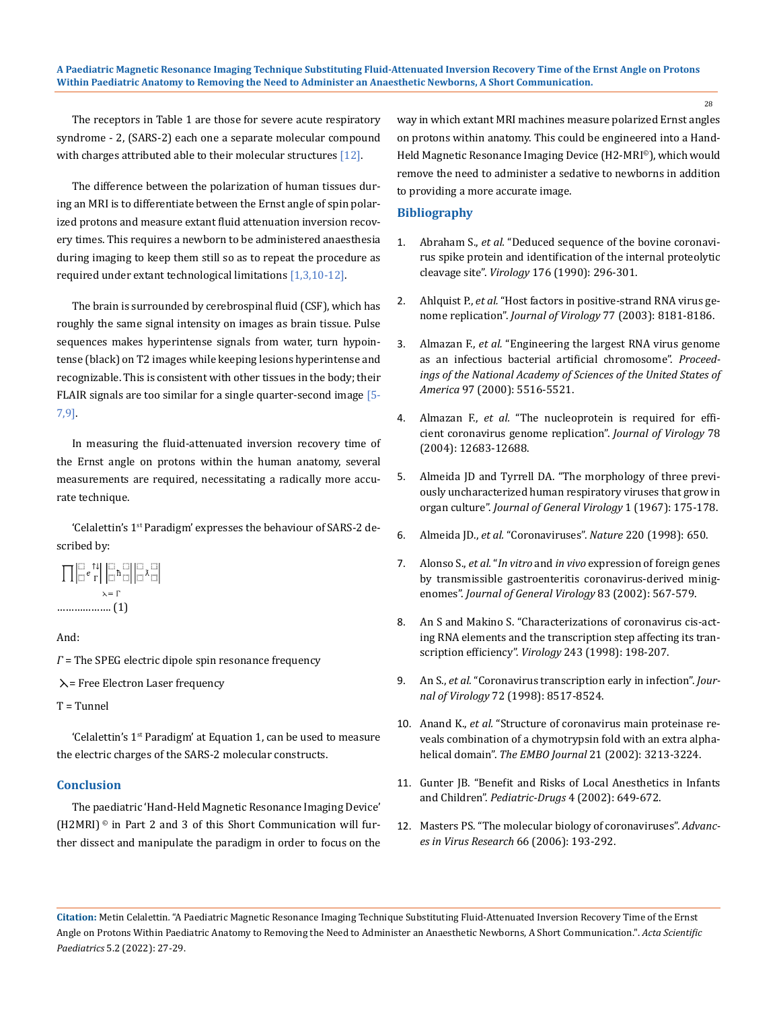The receptors in Table 1 are those for severe acute respiratory syndrome - 2, (SARS-2) each one a separate molecular compound with charges attributed able to their molecular structures  $[12]$ .

The difference between the polarization of human tissues during an MRI is to differentiate between the Ernst angle of spin polarized protons and measure extant fluid attenuation inversion recovery times. This requires a newborn to be administered anaesthesia during imaging to keep them still so as to repeat the procedure as required under extant technological limitations [1,3,10-12].

The brain is surrounded by cerebrospinal fluid (CSF), which has roughly the same signal intensity on images as brain tissue. Pulse sequences makes hyperintense signals from water, turn hypointense (black) on T2 images while keeping lesions hyperintense and recognizable. This is consistent with other tissues in the body; their FLAIR signals are too similar for a single quarter-second image [5- 7,9].

In measuring the fluid-attenuated inversion recovery time of the Ernst angle on protons within the human anatomy, several measurements are required, necessitating a radically more accurate technique.

'Celalettin's 1st Paradigm' expresses the behaviour of SARS-2 described by:



And:

*Γ* = The SPEG electric dipole spin resonance frequency

 $\lambda$  = Free Electron Laser frequency

T = Tunnel

'Celalettin's 1<sup>st</sup> Paradigm' at Equation 1, can be used to measure the electric charges of the SARS-2 molecular constructs.

# **Conclusion**

The paediatric 'Hand-Held Magnetic Resonance Imaging Device' (H2MRI) $\degree$  in Part 2 and 3 of this Short Communication will further dissect and manipulate the paradigm in order to focus on the way in which extant MRI machines measure polarized Ernst angles on protons within anatomy. This could be engineered into a Hand-Held Magnetic Resonance Imaging Device (H2-MRI©), which would remove the need to administer a sedative to newborns in addition to providing a more accurate image.

### **Bibliography**

- 1. Abraham S., *et al.* ["Deduced sequence of the bovine coronavi](https://pubmed.ncbi.nlm.nih.gov/2184576/)[rus spike protein and identification of the internal proteolytic](https://pubmed.ncbi.nlm.nih.gov/2184576/)  cleavage site". *Virology* [176 \(1990\): 296-301.](https://pubmed.ncbi.nlm.nih.gov/2184576/)
- 2. Ahlquist P., *et al.* ["Host factors in positive-strand RNA virus ge](https://journals.asm.org/doi/10.1128/JVI.77.15.8181-8186.2003)nome replication". *[Journal of Virology](https://journals.asm.org/doi/10.1128/JVI.77.15.8181-8186.2003)* 77 (2003): 8181-8186.
- 3. Almazan F., *et al.* ["Engineering the largest RNA virus genome](https://www.pnas.org/content/97/10/5516)  [as an infectious bacterial artificial chromosome".](https://www.pnas.org/content/97/10/5516) *Proceed[ings of the National Academy of Sciences of the United States of](https://www.pnas.org/content/97/10/5516)  America* [97 \(2000\): 5516-5521.](https://www.pnas.org/content/97/10/5516)
- 4. Almazan F., *et al.* ["The nucleoprotein is required for effi](https://journals.asm.org/doi/10.1128/JVI.78.22.12683-12688.2004)[cient coronavirus genome replication".](https://journals.asm.org/doi/10.1128/JVI.78.22.12683-12688.2004) *Journal of Virology* 78 [\(2004\): 12683-12688.](https://journals.asm.org/doi/10.1128/JVI.78.22.12683-12688.2004)
- 5. [Almeida JD and Tyrrell DA. "The morphology of three previ](https://pubmed.ncbi.nlm.nih.gov/4293939/)[ously uncharacterized human respiratory viruses that grow in](https://pubmed.ncbi.nlm.nih.gov/4293939/)  organ culture". *[Journal of General Virology](https://pubmed.ncbi.nlm.nih.gov/4293939/)* 1 (1967): 175-178.
- 6. Almeida JD., *et al.* "Coronaviruses". *Nature* 220 (1998): 650.
- 7. Alonso S., *et al.* "*In vitro* and *in vivo* [expression of foreign genes](https://pubmed.ncbi.nlm.nih.gov/11842252/)  [by transmissible gastroenteritis coronavirus-derived minig](https://pubmed.ncbi.nlm.nih.gov/11842252/)enomes". *[Journal of General Virology](https://pubmed.ncbi.nlm.nih.gov/11842252/)* 83 (2002): 567-579.
- 8. An S and Makino S. "Characterizations of coronavirus cis-act[ing RNA elements and the transcription step affecting its tran](https://pubmed.ncbi.nlm.nih.gov/9527929/)scription efficiency". *Virology* [243 \(1998\): 198-207.](https://pubmed.ncbi.nlm.nih.gov/9527929/)
- 9. An S., *et al.* ["Coronavirus transcription early in infection".](https://pubmed.ncbi.nlm.nih.gov/9765389/) *Journal of Virology* [72 \(1998\): 8517-8524.](https://pubmed.ncbi.nlm.nih.gov/9765389/)
- 10. Anand K., *et al.* ["Structure of coronavirus main proteinase re](https://pubmed.ncbi.nlm.nih.gov/12093723/)[veals combination of a chymotrypsin fold with an extra alpha](https://pubmed.ncbi.nlm.nih.gov/12093723/)helical domain". *The EMBO Journal* [21 \(2002\): 3213-3224.](https://pubmed.ncbi.nlm.nih.gov/12093723/)
- 11. [Gunter JB. "Benefit and Risks of Local Anesthetics in Infants](https://pubmed.ncbi.nlm.nih.gov/12269841/)  and Children". *Pediatric-Drugs* [4 \(2002\): 649-672.](https://pubmed.ncbi.nlm.nih.gov/12269841/)
- 12. [Masters PS. "The molecular biology of coronaviruses".](https://pubmed.ncbi.nlm.nih.gov/16877062/) *Advanc[es in Virus Research](https://pubmed.ncbi.nlm.nih.gov/16877062/)* 66 (2006): 193-292.

**Citation:** Metin Celalettin*.* "A Paediatric Magnetic Resonance Imaging Technique Substituting Fluid-Attenuated Inversion Recovery Time of the Ernst Angle on Protons Within Paediatric Anatomy to Removing the Need to Administer an Anaesthetic Newborns, A Short Communication.". *Acta Scientific Paediatrics* 5.2 (2022): 27-29.

28